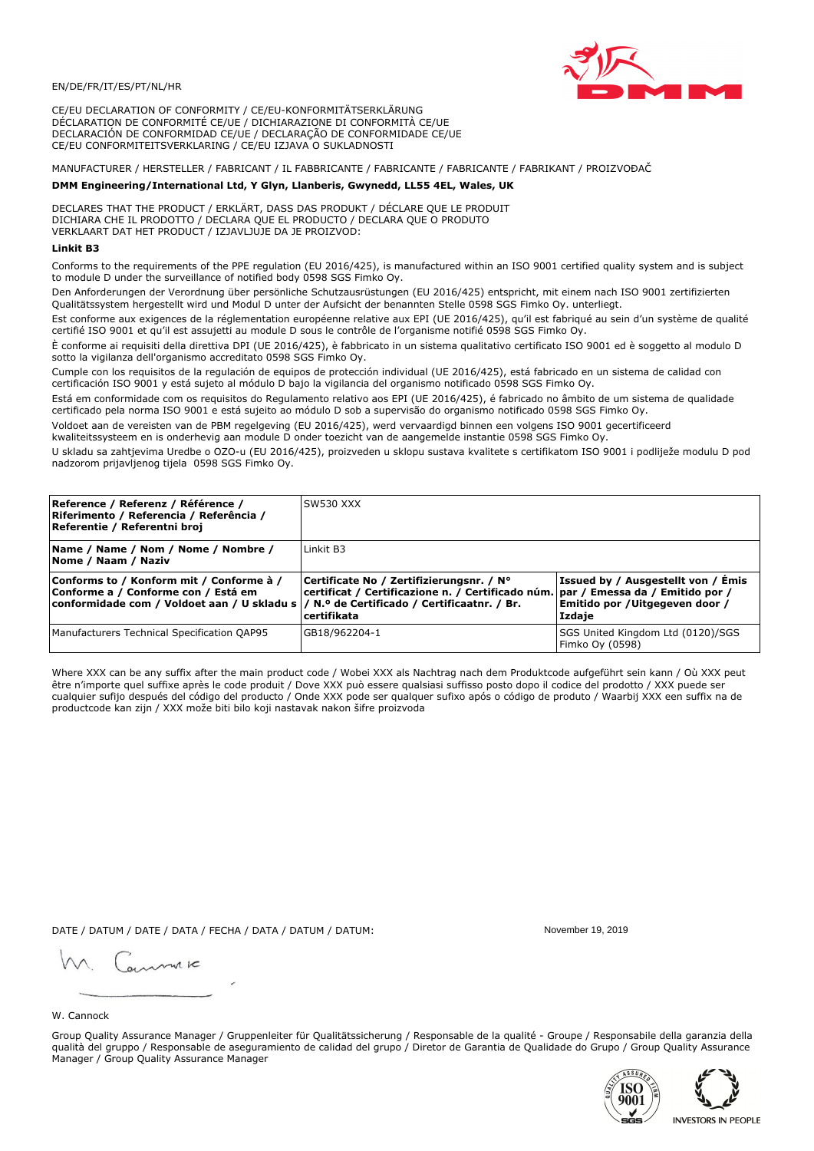## EN/DE/FR/IT/ES/PT/NL/HR

CE/EU DECLARATION OF CONFORMITY / CE/EU-KONFORMITÄTSERKLÄRUNG DÉCLARATION DE CONFORMITÉ CE/UE / DICHIARAZIONE DI CONFORMITÀ CE/UE DECLARACIÓN DE CONFORMIDAD CE/UE / DECLARAÇÃO DE CONFORMIDADE CE/UE CE/EU CONFORMITEITSVERKLARING / CE/EU IZJAVA O SUKLADNOSTI

# MANUFACTURER / HERSTELLER / FABRICANT / IL FABBRICANTE / FABRICANTE / FABRICANTE / FABRIKANT / PROIZVOĐAČ

## DMM Engineering/International Ltd, Y Glyn, Llanberis, Gwynedd, LL55 4EL, Wales, UK

DECLARES THAT THE PRODUCT / ERKLÄRT, DASS DAS PRODUKT / DÉCLARE QUE LE PRODUIT<br>DICHIARA CHE IL PRODOTTO / DECLARA QUE EL PRODUCTO / DECLARA QUE O PRODUTO VERKLAART DAT HET PRODUCT / IZJAVLJUJE DA JE PROIZVOD:

## **Linkit B3**

Conforms to the requirements of the PPE regulation (EU 2016/425), is manufactured within an ISO 9001 certified quality system and is subject to module D under the surveillance of notified body 0598 SGS Fimko Oy.

Den Anforderungen der Verordnung über persönliche Schutzausrüstungen (EU 2016/425) entspricht, mit einem nach ISO 9001 zertifizierten Qualitätssystem hergestellt wird und Modul D unter der Aufsicht der benannten Stelle 0598 SGS Fimko Oy. unterliegt.

Est conforme aux exigences de la réglementation européenne relative aux EPI (UE 2016/425), qu'il est fabriqué au sein d'un système de qualité certifié ISO 9001 et qu'il est assujetti au module D sous le contrôle de l'organisme notifié 0598 SGS Fimko Oy.

È conforme ai requisiti della direttiva DPI (UE 2016/425), è fabbricato in un sistema qualitativo certificato ISO 9001 ed è soggetto al modulo D sotto la vigilanza dell'organismo accreditato 0598 SGS Fimko Oy.

Cumple con los requisitos de la regulación de equipos de protección individual (UE 2016/425), está fabricado en un sistema de calidad con certificación ISO 9001 y está sujeto al módulo D bajo la vigilancia del organismo notificado 0598 SGS Fimko Oy.

Está em conformidade com os requisitos do Regulamento relativo aos EPI (UE 2016/425), é fabricado no âmbito de um sistema de qualidade certificado pela norma ISO 9001 e está sujeito ao módulo D sob a supervisão do organismo notificado 0598 SGS Fimko Oy.

Voldoet aan de vereisten van de PBM regelgeving (EU 2016/425), werd vervaardigd binnen een volgens ISO 9001 gecertificeerd kwaliteitssysteem en is onderhevig aan module D onder toezicht van de aangemelde instantie 0598 SGS Fimko Oy.

U skladu sa zahtjevima Uredbe o OZO-u (EU 2016/425), proizveden u sklopu sustava kvalitete s certifikatom ISO 9001 i podliježe modulu D pod nadzorom prijavljenog tijela 0598 SGS Fimko Oy.

| Reference / Referenz / Référence /<br>Riferimento / Referencia / Referência /<br>Referentie / Referentni broj                                                              | SW530 XXX                                                                                                                                          |                                                                                       |
|----------------------------------------------------------------------------------------------------------------------------------------------------------------------------|----------------------------------------------------------------------------------------------------------------------------------------------------|---------------------------------------------------------------------------------------|
| Name / Name / Nom / Nome / Nombre /<br>Nome / Naam / Naziv                                                                                                                 | Linkit B3                                                                                                                                          |                                                                                       |
| Conforms to / Konform mit / Conforme à /<br>Conforme a / Conforme con / Está em<br>conformidade com / Voldoet aan / U skladu s / N.º de Certificado / Certificaatnr. / Br. | Certificate No / Zertifizierungsnr. / N°<br>  certificat / Certificazione n. / Certificado núm.   par / Emessa da / Emitido por /<br>l certifikata | <b>Issued by / Ausgestellt von / Emis</b><br>Emitido por /Uitgegeven door /<br>Izdaje |
| Manufacturers Technical Specification QAP95                                                                                                                                | GB18/962204-1                                                                                                                                      | SGS United Kingdom Ltd (0120)/SGS<br>Fimko Oy (0598)                                  |

Where XXX can be any suffix after the main product code / Wobei XXX als Nachtrag nach dem Produktcode aufgeführt sein kann / Où XXX peut être n'importe quel suffixe après le code produit / Dove XXX può essere qualsiasi suffisso posto dopo il codice del prodotto / XXX puede ser cualquier sufijo después del código del producto / Onde XXX pode ser qualquer sufixo após o código de produto / Waarbij XXX een suffix na de productcode kan zijn / XXX može biti bilo koji nastavak nakon šifre proizvoda

DATE / DATUM / DATE / DATA / FECHA / DATA / DATUM / DATUM:

gimmic

November 19 2019



Group Quality Assurance Manager / Gruppenleiter für Qualitätssicherung / Responsable de la qualité - Groupe / Responsabile della garanzia della qualità del gruppo / Responsable de aseguramiento de calidad del grupo / Diretor de Garantia de Qualidade do Grupo / Group Quality Assurance Manager / Group Quality Assurance Manager



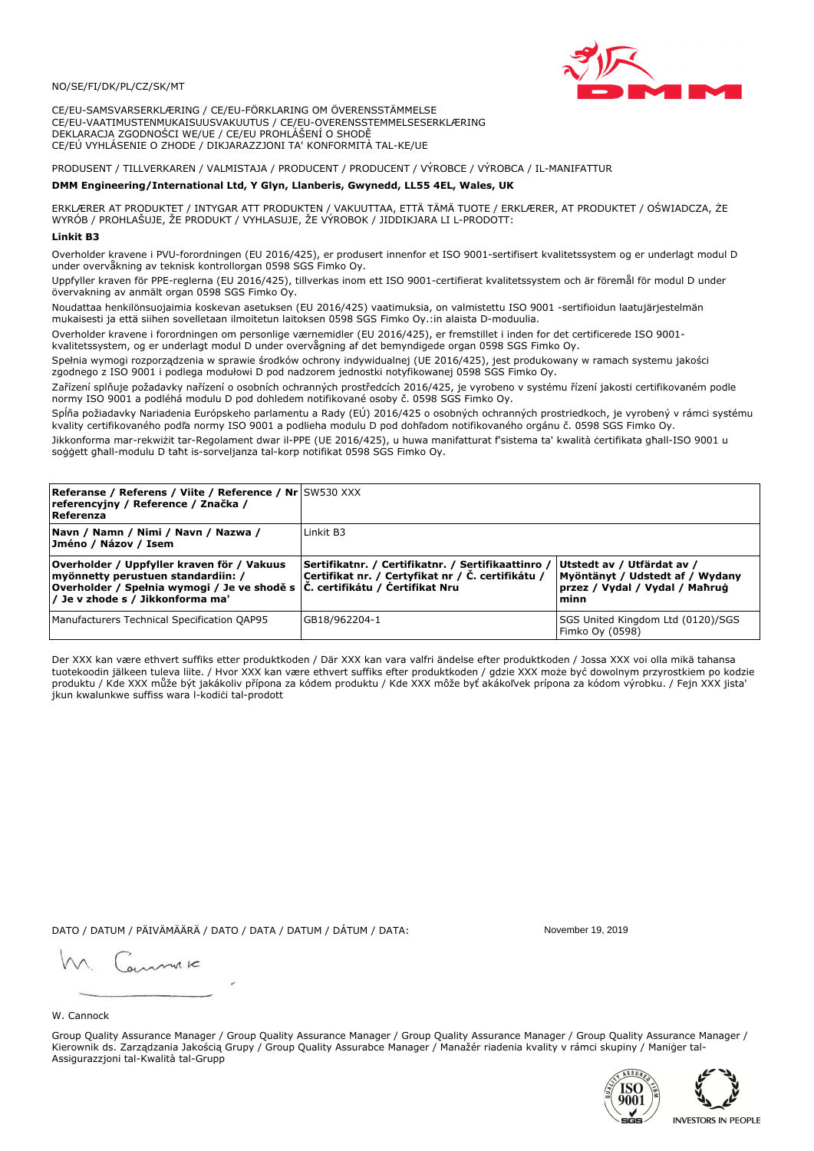## NO/SE/FI/DK/PL/CZ/SK/MT

CE/EU-SAMSVARSERKLÆRING / CE/EU-FÖRKLARING OM ÖVERENSSTÄMMELSE CE/EU-VAATIMUSTENMUKAISUUSVAKUUTUS / CE/EU-OVERENSSTEMMELSESERKLÆRING DEKLARACJA ZGODNOŚCI WE/UE / CE/EU PROHLÁŠENÍ O SHODĚ CE/EÚ VYHLÁSENIE O ZHODE / DIKJARAZZJONI TA' KONFORMITÀ TAL-KE/UE

# PRODUSENT / TILLVERKAREN / VALMISTAJA / PRODUCENT / PRODUCENT / VÝROBCE / VÝROBCA / IL-MANIFATTUR

### DMM Engineering/International Ltd, Y Glyn, Llanberis, Gwynedd, LL55 4EL, Wales, UK

ERKLÆRER AT PRODUKTET / INTYGAR ATT PRODUKTEN / VAKUUTTAA, ETTÄ TÄMÄ TUOTE / ERKLÆRER, AT PRODUKTET / OŚWIADCZA, ŻE<br>WYRÓB / PROHLAŠUJE, ŽE PRODUKT / VYHLASUJE, ŽE VÝROBOK / JIDDIKJARA LI L-PRODOTT:

Overholder kravene i PVU-forordningen (EU 2016/425), er produsert innenfor et ISO 9001-sertifisert kvalitetssystem og er underlagt modul D under overvåkning av teknisk kontrollorgan 0598 SGS Fimko Oy.

Uppfyller kraven för PPE-reglerna (EU 2016/425), tillverkas inom ett ISO 9001-certifierat kvalitetssystem och är föremål för modul D under övervakning av anmält organ 0598 SGS Fimko Oy.

Noudattaa henkilönsuojaimia koskevan asetuksen (EU 2016/425) vaatimuksia, on valmistettu ISO 9001 -sertifioidun laatujärjestelmän mukaisesti ja että siihen sovelletaan ilmoitetun laitoksen 0598 SGS Fimko Oy.:in alaista D-moduulia.

Overholder kravene i forordningen om personlige værnemidler (EU 2016/425), er fremstillet i inden for det certificerede ISO 9001kvalitetssystem, og er underlagt modul D under overvågning af det bemyndigede organ 0598 SGS Fimko Oy.

Spełnia wymogi rozporządzenia w sprawie środków ochrony indywidualnej (UE 2016/425), jest produkowany w ramach systemu jakości zgodnego z ISO 9001 i podlega modułowi D pod nadzorem jednostki notyfikowanej 0598 SGS Fimko Oy.

Zařízení splňuje požadavky nařízení o osobních ochranných prostředcích 2016/425, je vyrobeno v systému řízení jakosti certifikovaném podle normy ISO 9001 a podléhá modulu D pod dohledem notifikované osoby č. 0598 SGS Fimko Oy.

Spĺňa požiadavky Nariadenia Európskeho parlamentu a Rady (EÚ) 2016/425 o osobných ochranných prostriedkoch, je vyrobený v rámci systému kvality certifikovaného podľa normy ISO 9001 a podlieha modulu D pod dohľadom notifikovaného orgánu č. 0598 SGS Fimko Oy.

Jikkonforma mar-rekwiżit tar-Regolament dwar il-PPE (UE 2016/425), u huwa manifatturat f'sistema ta' kwalità certifikata għall-ISO 9001 u soggett għall-modulu D taħt is-sorveljanza tal-korp notifikat 0598 SGS Fimko Oy.

| <b>Referanse / Referens / Viite / Reference / Nr SW530 XXX</b><br>referencyjny / Reference / Značka /<br>Referenza                                                                                                |                                                                                                         |                                                                                                         |
|-------------------------------------------------------------------------------------------------------------------------------------------------------------------------------------------------------------------|---------------------------------------------------------------------------------------------------------|---------------------------------------------------------------------------------------------------------|
| Navn / Namn / Nimi / Navn / Nazwa /<br> Jméno / Názov / Isem                                                                                                                                                      | Linkit B3                                                                                               |                                                                                                         |
| Overholder / Uppfyller kraven för / Vakuus<br>myönnetty perustuen standardiin: /<br> Overholder / Spełnia wymogi / Je ve shodě s $ \tilde{C} $ . certifikátu / Čertifikat Nru<br>/ Je v zhode s / Jikkonforma ma' | Sertifikatnr. / Certifikatnr. / Sertifikaattinro /<br>Certifikat nr. / Certyfikat nr / Č. certifikátu / | Utstedt av / Utfärdat av /<br>Myöntänyt / Udstedt af / Wydany<br>przez / Vydal / Vydal / Mahrug<br>minn |
| Manufacturers Technical Specification QAP95                                                                                                                                                                       | GB18/962204-1                                                                                           | SGS United Kingdom Ltd (0120)/SGS<br>Fimko Oy (0598)                                                    |

Der XXX kan være ethvert suffiks etter produktkoden / Där XXX kan vara valfri ändelse efter produktkoden / Jossa XXX voi olla mikä tahansa tuotekoodin jälkeen tuleva liite. / Hvor XXX kan være ethvert suffiks efter produktkoden / gdzie XXX może być dowolnym przyrostkiem po kodzie produktu / Kde XXX může být jakákoliv přípona za kódem produktu / Kde XXX môže byť akákolyek prípona za kódom výrobku. / Fejn XXX jista ikun kwalunkwe suffiss wara l-kodići tal-prodott

DATO / DATUM / PÄIVÄMÄÄRÄ / DATO / DATA / DATUM / DÁTUM / DATA:

November 19 2019

annuic

W. Cannock

Group Quality Assurance Manager / Group Quality Assurance Manager / Group Quality Assurance Manager / Group Quality Assurance Manager / Kierownik ds. Zarządzania Jakością Grupy / Group Quality Assurabce Manager / Manažér riadenia kvality v rámci skupiny / Maniger tal-Assigurazzjoni tal-Kwalità tal-Grupp